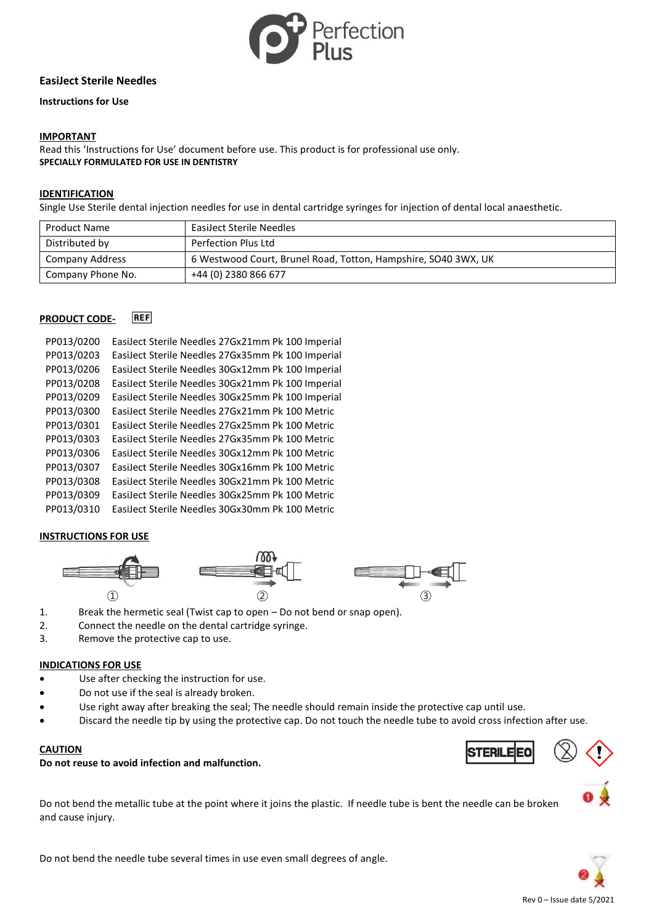

# **EasiJect Sterile Needles**

#### **Instructions for Use**

### **IMPORTANT**

Read this 'Instructions for Use' document before use. This product is for professional use only. **SPECIALLY FORMULATED FOR USE IN DENTISTRY**

#### **IDENTIFICATION**

Single Use Sterile dental injection needles for use in dental cartridge syringes for injection of dental local anaesthetic.

| Product Name           | <b>EasiJect Sterile Needles</b>                                |
|------------------------|----------------------------------------------------------------|
| Distributed by         | Perfection Plus Ltd                                            |
| <b>Company Address</b> | 6 Westwood Court, Brunel Road, Totton, Hampshire, SO40 3WX, UK |
| Company Phone No.      | +44 (0) 2380 866 677                                           |

#### **REF PRODUCT CODE-**

| EasiJect Sterile Needles 27Gx21mm Pk 100 Imperial |
|---------------------------------------------------|
| EasiJect Sterile Needles 27Gx35mm Pk 100 Imperial |
| EasiJect Sterile Needles 30Gx12mm Pk 100 Imperial |
| EasiJect Sterile Needles 30Gx21mm Pk 100 Imperial |
| EasiJect Sterile Needles 30Gx25mm Pk 100 Imperial |
| EasiJect Sterile Needles 27Gx21mm Pk 100 Metric   |
| EasiJect Sterile Needles 27Gx25mm Pk 100 Metric   |
| EasiJect Sterile Needles 27Gx35mm Pk 100 Metric   |
| EasiJect Sterile Needles 30Gx12mm Pk 100 Metric   |
| EasiJect Sterile Needles 30Gx16mm Pk 100 Metric   |
| EasiJect Sterile Needles 30Gx21mm Pk 100 Metric   |
| EasiJect Sterile Needles 30Gx25mm Pk 100 Metric   |
| EasiJect Sterile Needles 30Gx30mm Pk 100 Metric   |
|                                                   |

# **INSTRUCTIONS FOR USE**



- 1. Break the hermetic seal (Twist cap to open Do not bend or snap open).
- 2. Connect the needle on the dental cartridge syringe.
- 3. Remove the protective cap to use.

#### **INDICATIONS FOR USE**

- Use after checking the instruction for use.
- Do not use if the seal is already broken.
- Use right away after breaking the seal; The needle should remain inside the protective cap until use.
- Discard the needle tip by using the protective cap. Do not touch the needle tube to avoid cross infection after use.

### **CAUTION**

# **Do not reuse to avoid infection and malfunction.**

Do not bend the metallic tube at the point where it joins the plastic. If needle tube is bent the needle can be broken and cause injury.

Do not bend the needle tube several times in use even small degrees of angle.

# TFRII